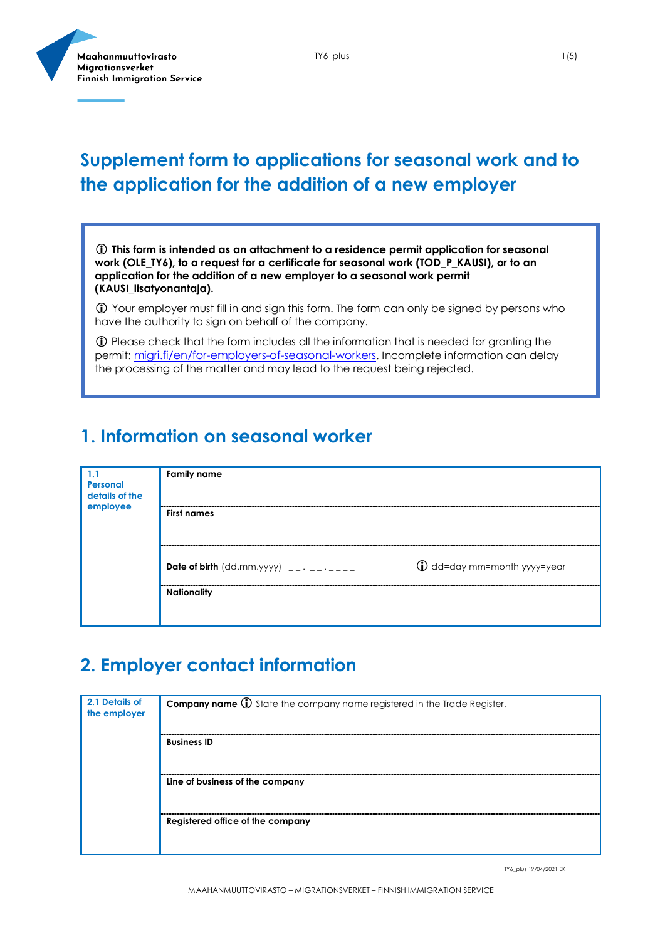

### **Supplement form to applications for seasonal work and to the application for the addition of a new employer**

 **This form is intended as an attachment to a residence permit application for seasonal work (OLE\_TY6), to a request for a certificate for seasonal work (TOD\_P\_KAUSI), or to an application for the addition of a new employer to a seasonal work permit (KAUSI\_lisatyonantaja).**

 Your employer must fill in and sign this form. The form can only be signed by persons who have the authority to sign on behalf of the company.

 Please check that the form includes all the information that is needed for granting the permit[: migri.fi/en/for-employers-of-seasonal-workers.](https://migri.fi/en/for-employers-of-seasonal-workers) Incomplete information can delay the processing of the matter and may lead to the request being rejected.

#### **1. Information on seasonal worker**

| 1.1<br>Personal<br>details of the<br>employee | <b>Family name</b>                        |                                       |
|-----------------------------------------------|-------------------------------------------|---------------------------------------|
|                                               | <b>First names</b>                        |                                       |
|                                               | Date of birth $(dd.mm.yyyy)$ __. __. ____ | $\bigoplus$ dd=day mm=month yyyy=year |
|                                               | <b>Nationality</b>                        |                                       |

#### **2. Employer contact information**

| 2.1 Details of<br>the employer | <b>Company name 1</b> State the company name registered in the Trade Register. |
|--------------------------------|--------------------------------------------------------------------------------|
|                                | <b>Business ID</b>                                                             |
|                                | Line of business of the company                                                |
|                                | Registered office of the company                                               |

TY6\_plus 19/04/2021 EK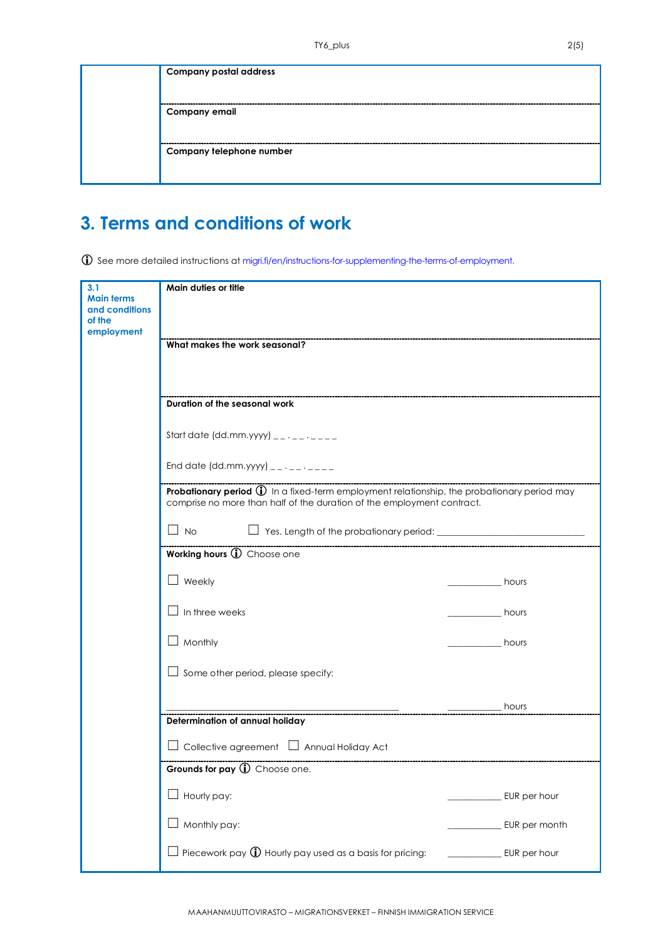| <b>Company postal address</b> |
|-------------------------------|
| <b>Company email</b>          |
| Company telephone number      |
|                               |

## **3. Terms and conditions of work**

See more detailed instructions at migri.fi/en/instructions-for-supplementing-the-terms-of-employment.

| 3.1                      | Main duties or title                                                                                                    |  |               |
|--------------------------|-------------------------------------------------------------------------------------------------------------------------|--|---------------|
| <b>Main terms</b>        |                                                                                                                         |  |               |
| and conditions<br>of the |                                                                                                                         |  |               |
| employment               |                                                                                                                         |  |               |
|                          | What makes the work seasonal?                                                                                           |  |               |
|                          |                                                                                                                         |  |               |
|                          |                                                                                                                         |  |               |
|                          |                                                                                                                         |  |               |
|                          | Duration of the seasonal work                                                                                           |  |               |
|                          |                                                                                                                         |  |               |
|                          | Start date (dd.mm.yyyy) $2 - 1 - 2 - 3$                                                                                 |  |               |
|                          |                                                                                                                         |  |               |
|                          | End date (dd.mm.yyyy) $\frac{1}{2}$ $\cdots$ $\frac{1}{2}$                                                              |  |               |
|                          | <b>Probationary period <math>\mathbb{Q}</math></b> In a fixed-term employment relationship, the probationary period may |  |               |
|                          | comprise no more than half of the duration of the employment contract.                                                  |  |               |
|                          |                                                                                                                         |  |               |
|                          | $\Box$ No                                                                                                               |  |               |
|                          | Working hours (i) Choose one                                                                                            |  |               |
|                          |                                                                                                                         |  |               |
|                          | Weekly                                                                                                                  |  | hours         |
|                          |                                                                                                                         |  |               |
|                          | In three weeks                                                                                                          |  | hours         |
|                          |                                                                                                                         |  |               |
|                          | $\perp$ Monthly                                                                                                         |  | hours         |
|                          |                                                                                                                         |  |               |
|                          | $\Box$ Some other period, please specify:                                                                               |  |               |
|                          |                                                                                                                         |  |               |
|                          |                                                                                                                         |  | hours         |
|                          | Determination of annual holiday                                                                                         |  |               |
|                          | $\Box$ Collective agreement $\Box$ Annual Holiday Act                                                                   |  |               |
|                          | Grounds for pay 1 Choose one.                                                                                           |  |               |
|                          | Hourly pay:                                                                                                             |  | EUR per hour  |
|                          |                                                                                                                         |  |               |
|                          | Monthly pay:                                                                                                            |  | EUR per month |
|                          |                                                                                                                         |  |               |
|                          | Piecework pay $\bigoplus$ Hourly pay used as a basis for pricing:                                                       |  | EUR per hour  |
|                          |                                                                                                                         |  |               |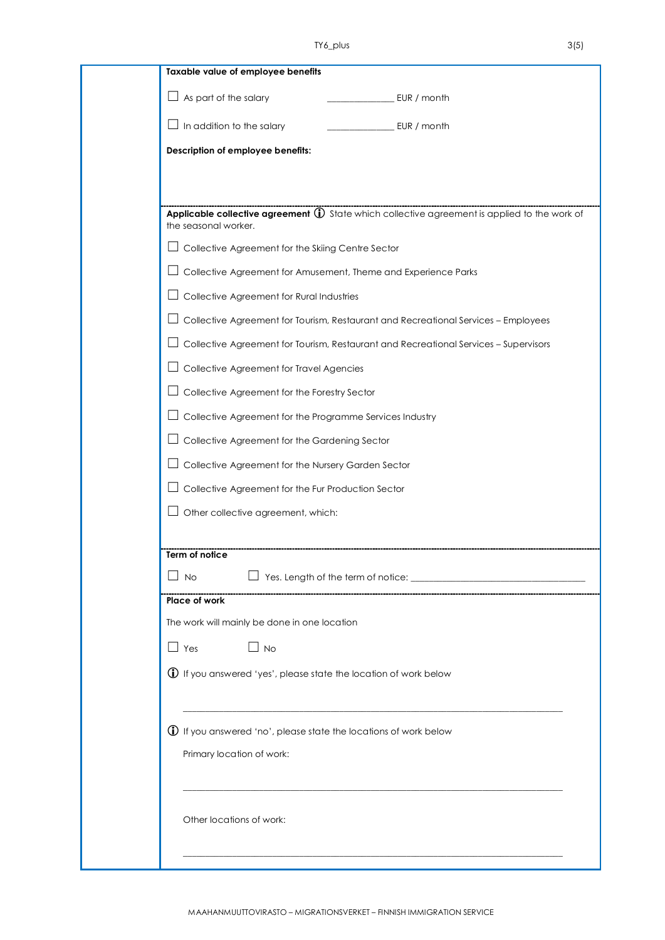| $\Box$ As part of the salary<br>EUR / month<br>$\Box$ In addition to the salary<br>EUR / month<br>Description of employee benefits:<br>Applicable collective agreement 1 State which collective agreement is applied to the work of<br>the seasonal worker.<br>Collective Agreement for the Skiing Centre Sector<br>Collective Agreement for Amusement, Theme and Experience Parks<br>Collective Agreement for Rural Industries<br>Collective Agreement for Tourism, Restaurant and Recreational Services - Employees<br>Collective Agreement for Tourism, Restaurant and Recreational Services - Supervisors<br>Collective Agreement for Travel Agencies<br>Collective Agreement for the Forestry Sector<br>Collective Agreement for the Programme Services Industry<br>Collective Agreement for the Gardening Sector<br>Collective Agreement for the Nursery Garden Sector<br>Collective Agreement for the Fur Production Sector<br>Other collective agreement, which:<br>Term of notice<br>No<br>Place of work<br>The work will mainly be done in one location<br>$\Box$ Yes<br>$\Box$ No<br>$\bigoplus$ If you answered 'yes', please state the location of work below<br>$\bigoplus$ If you answered 'no', please state the locations of work below<br>Primary location of work:<br>Other locations of work: |  | Taxable value of employee benefits |
|-------------------------------------------------------------------------------------------------------------------------------------------------------------------------------------------------------------------------------------------------------------------------------------------------------------------------------------------------------------------------------------------------------------------------------------------------------------------------------------------------------------------------------------------------------------------------------------------------------------------------------------------------------------------------------------------------------------------------------------------------------------------------------------------------------------------------------------------------------------------------------------------------------------------------------------------------------------------------------------------------------------------------------------------------------------------------------------------------------------------------------------------------------------------------------------------------------------------------------------------------------------------------------------------------------------------|--|------------------------------------|
|                                                                                                                                                                                                                                                                                                                                                                                                                                                                                                                                                                                                                                                                                                                                                                                                                                                                                                                                                                                                                                                                                                                                                                                                                                                                                                                   |  |                                    |
|                                                                                                                                                                                                                                                                                                                                                                                                                                                                                                                                                                                                                                                                                                                                                                                                                                                                                                                                                                                                                                                                                                                                                                                                                                                                                                                   |  |                                    |
|                                                                                                                                                                                                                                                                                                                                                                                                                                                                                                                                                                                                                                                                                                                                                                                                                                                                                                                                                                                                                                                                                                                                                                                                                                                                                                                   |  |                                    |
|                                                                                                                                                                                                                                                                                                                                                                                                                                                                                                                                                                                                                                                                                                                                                                                                                                                                                                                                                                                                                                                                                                                                                                                                                                                                                                                   |  |                                    |
|                                                                                                                                                                                                                                                                                                                                                                                                                                                                                                                                                                                                                                                                                                                                                                                                                                                                                                                                                                                                                                                                                                                                                                                                                                                                                                                   |  |                                    |
|                                                                                                                                                                                                                                                                                                                                                                                                                                                                                                                                                                                                                                                                                                                                                                                                                                                                                                                                                                                                                                                                                                                                                                                                                                                                                                                   |  |                                    |
|                                                                                                                                                                                                                                                                                                                                                                                                                                                                                                                                                                                                                                                                                                                                                                                                                                                                                                                                                                                                                                                                                                                                                                                                                                                                                                                   |  |                                    |
|                                                                                                                                                                                                                                                                                                                                                                                                                                                                                                                                                                                                                                                                                                                                                                                                                                                                                                                                                                                                                                                                                                                                                                                                                                                                                                                   |  |                                    |
|                                                                                                                                                                                                                                                                                                                                                                                                                                                                                                                                                                                                                                                                                                                                                                                                                                                                                                                                                                                                                                                                                                                                                                                                                                                                                                                   |  |                                    |
|                                                                                                                                                                                                                                                                                                                                                                                                                                                                                                                                                                                                                                                                                                                                                                                                                                                                                                                                                                                                                                                                                                                                                                                                                                                                                                                   |  |                                    |
|                                                                                                                                                                                                                                                                                                                                                                                                                                                                                                                                                                                                                                                                                                                                                                                                                                                                                                                                                                                                                                                                                                                                                                                                                                                                                                                   |  |                                    |
|                                                                                                                                                                                                                                                                                                                                                                                                                                                                                                                                                                                                                                                                                                                                                                                                                                                                                                                                                                                                                                                                                                                                                                                                                                                                                                                   |  |                                    |
|                                                                                                                                                                                                                                                                                                                                                                                                                                                                                                                                                                                                                                                                                                                                                                                                                                                                                                                                                                                                                                                                                                                                                                                                                                                                                                                   |  |                                    |
|                                                                                                                                                                                                                                                                                                                                                                                                                                                                                                                                                                                                                                                                                                                                                                                                                                                                                                                                                                                                                                                                                                                                                                                                                                                                                                                   |  |                                    |
|                                                                                                                                                                                                                                                                                                                                                                                                                                                                                                                                                                                                                                                                                                                                                                                                                                                                                                                                                                                                                                                                                                                                                                                                                                                                                                                   |  |                                    |
|                                                                                                                                                                                                                                                                                                                                                                                                                                                                                                                                                                                                                                                                                                                                                                                                                                                                                                                                                                                                                                                                                                                                                                                                                                                                                                                   |  |                                    |
|                                                                                                                                                                                                                                                                                                                                                                                                                                                                                                                                                                                                                                                                                                                                                                                                                                                                                                                                                                                                                                                                                                                                                                                                                                                                                                                   |  |                                    |
|                                                                                                                                                                                                                                                                                                                                                                                                                                                                                                                                                                                                                                                                                                                                                                                                                                                                                                                                                                                                                                                                                                                                                                                                                                                                                                                   |  |                                    |
|                                                                                                                                                                                                                                                                                                                                                                                                                                                                                                                                                                                                                                                                                                                                                                                                                                                                                                                                                                                                                                                                                                                                                                                                                                                                                                                   |  |                                    |
|                                                                                                                                                                                                                                                                                                                                                                                                                                                                                                                                                                                                                                                                                                                                                                                                                                                                                                                                                                                                                                                                                                                                                                                                                                                                                                                   |  |                                    |
|                                                                                                                                                                                                                                                                                                                                                                                                                                                                                                                                                                                                                                                                                                                                                                                                                                                                                                                                                                                                                                                                                                                                                                                                                                                                                                                   |  |                                    |
|                                                                                                                                                                                                                                                                                                                                                                                                                                                                                                                                                                                                                                                                                                                                                                                                                                                                                                                                                                                                                                                                                                                                                                                                                                                                                                                   |  |                                    |
|                                                                                                                                                                                                                                                                                                                                                                                                                                                                                                                                                                                                                                                                                                                                                                                                                                                                                                                                                                                                                                                                                                                                                                                                                                                                                                                   |  |                                    |
|                                                                                                                                                                                                                                                                                                                                                                                                                                                                                                                                                                                                                                                                                                                                                                                                                                                                                                                                                                                                                                                                                                                                                                                                                                                                                                                   |  |                                    |
|                                                                                                                                                                                                                                                                                                                                                                                                                                                                                                                                                                                                                                                                                                                                                                                                                                                                                                                                                                                                                                                                                                                                                                                                                                                                                                                   |  |                                    |
|                                                                                                                                                                                                                                                                                                                                                                                                                                                                                                                                                                                                                                                                                                                                                                                                                                                                                                                                                                                                                                                                                                                                                                                                                                                                                                                   |  |                                    |
|                                                                                                                                                                                                                                                                                                                                                                                                                                                                                                                                                                                                                                                                                                                                                                                                                                                                                                                                                                                                                                                                                                                                                                                                                                                                                                                   |  |                                    |
|                                                                                                                                                                                                                                                                                                                                                                                                                                                                                                                                                                                                                                                                                                                                                                                                                                                                                                                                                                                                                                                                                                                                                                                                                                                                                                                   |  |                                    |
|                                                                                                                                                                                                                                                                                                                                                                                                                                                                                                                                                                                                                                                                                                                                                                                                                                                                                                                                                                                                                                                                                                                                                                                                                                                                                                                   |  |                                    |
|                                                                                                                                                                                                                                                                                                                                                                                                                                                                                                                                                                                                                                                                                                                                                                                                                                                                                                                                                                                                                                                                                                                                                                                                                                                                                                                   |  |                                    |
|                                                                                                                                                                                                                                                                                                                                                                                                                                                                                                                                                                                                                                                                                                                                                                                                                                                                                                                                                                                                                                                                                                                                                                                                                                                                                                                   |  |                                    |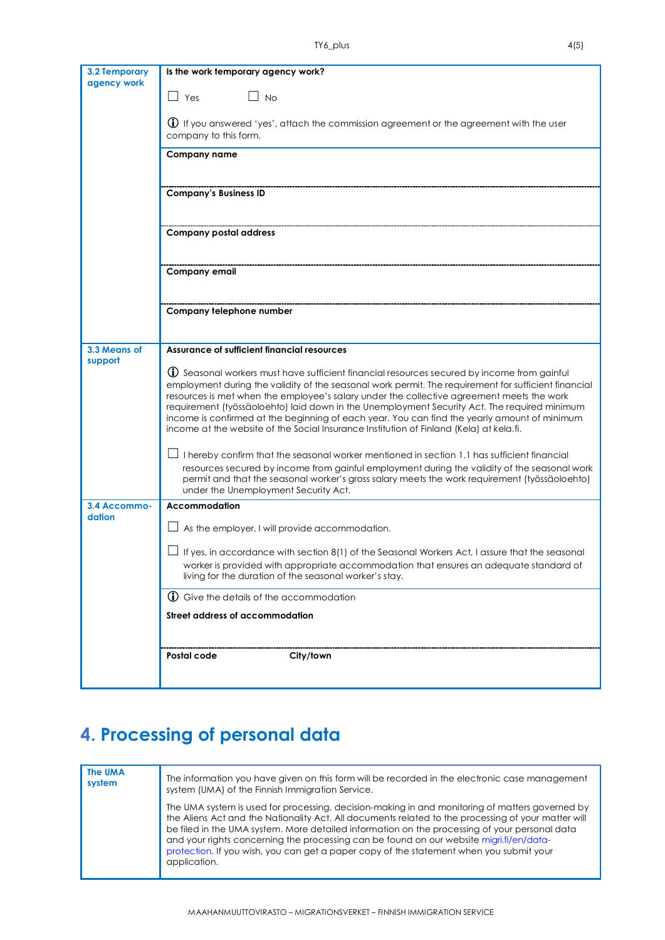| 3.2 Temporary<br>agency work | Is the work temporary agency work?                                                                                                                                                                                                                                                                                                                                                                                                                                                                                                                                                                   |  |
|------------------------------|------------------------------------------------------------------------------------------------------------------------------------------------------------------------------------------------------------------------------------------------------------------------------------------------------------------------------------------------------------------------------------------------------------------------------------------------------------------------------------------------------------------------------------------------------------------------------------------------------|--|
|                              | $\Box$ Yes<br>$\Box$ No                                                                                                                                                                                                                                                                                                                                                                                                                                                                                                                                                                              |  |
|                              | <b>(i)</b> If you answered 'yes', attach the commission agreement or the agreement with the user<br>company to this form.                                                                                                                                                                                                                                                                                                                                                                                                                                                                            |  |
|                              | <b>Company name</b>                                                                                                                                                                                                                                                                                                                                                                                                                                                                                                                                                                                  |  |
|                              | <b>Company's Business ID</b>                                                                                                                                                                                                                                                                                                                                                                                                                                                                                                                                                                         |  |
|                              | <b>Company postal address</b>                                                                                                                                                                                                                                                                                                                                                                                                                                                                                                                                                                        |  |
|                              | Company email                                                                                                                                                                                                                                                                                                                                                                                                                                                                                                                                                                                        |  |
|                              | Company telephone number                                                                                                                                                                                                                                                                                                                                                                                                                                                                                                                                                                             |  |
| 3.3 Means of                 | Assurance of sufficient financial resources                                                                                                                                                                                                                                                                                                                                                                                                                                                                                                                                                          |  |
| support                      |                                                                                                                                                                                                                                                                                                                                                                                                                                                                                                                                                                                                      |  |
|                              | $\mathbb O$ Seasonal workers must have sufficient financial resources secured by income from gainful<br>employment during the validity of the seasonal work permit. The requirement for sufficient financial<br>resources is met when the employee's salary under the collective agreement meets the work<br>requirement (työssäoloehto) laid down in the Unemployment Security Act. The required minimum<br>income is confirmed at the beginning of each year. You can find the yearly amount of minimum<br>income at the website of the Social Insurance Institution of Finland (Kela) at kela.fi. |  |
|                              | I hereby confirm that the seasonal worker mentioned in section 1.1 has sufficient financial<br>resources secured by income from gainful employment during the validity of the seasonal work<br>permit and that the seasonal worker's gross salary meets the work requirement (työssäoloehto)<br>under the Unemployment Security Act.                                                                                                                                                                                                                                                                 |  |
| 3.4 Accommo-                 | Accommodation                                                                                                                                                                                                                                                                                                                                                                                                                                                                                                                                                                                        |  |
| dation                       | As the employer, I will provide accommodation.                                                                                                                                                                                                                                                                                                                                                                                                                                                                                                                                                       |  |
|                              | If yes, in accordance with section 8(1) of the Seasonal Workers Act, I assure that the seasonal                                                                                                                                                                                                                                                                                                                                                                                                                                                                                                      |  |
|                              | worker is provided with appropriate accommodation that ensures an adequate standard of<br>living for the duration of the seasonal worker's stay.                                                                                                                                                                                                                                                                                                                                                                                                                                                     |  |
|                              | <b>1</b> Give the details of the accommodation                                                                                                                                                                                                                                                                                                                                                                                                                                                                                                                                                       |  |
|                              | Street address of accommodation                                                                                                                                                                                                                                                                                                                                                                                                                                                                                                                                                                      |  |
|                              |                                                                                                                                                                                                                                                                                                                                                                                                                                                                                                                                                                                                      |  |
|                              | Postal code<br>City/town                                                                                                                                                                                                                                                                                                                                                                                                                                                                                                                                                                             |  |

## **4. Processing of personal data**

| <b>The UMA</b><br>system | The information you have given on this form will be recorded in the electronic case management<br>system (UMA) of the Finnish Immigration Service.                                                                                                                                                                                                                                                                                                                                                            |
|--------------------------|---------------------------------------------------------------------------------------------------------------------------------------------------------------------------------------------------------------------------------------------------------------------------------------------------------------------------------------------------------------------------------------------------------------------------------------------------------------------------------------------------------------|
|                          | The UMA system is used for processing, decision-making in and monitoring of matters governed by<br>the Aliens Act and the Nationality Act. All documents related to the processing of your matter will<br>be filed in the UMA system. More detailed information on the processing of your personal data<br>and your rights concerning the processing can be found on our website migri.fi/en/data-<br>protection. If you wish, you can get a paper copy of the statement when you submit your<br>application. |